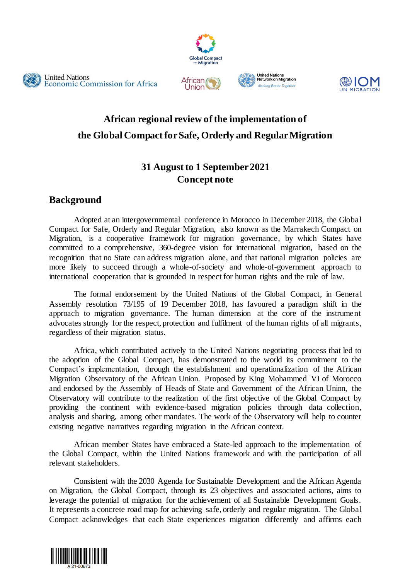







# **African regional review of the implementation of the Global Compact for Safe, Orderly and Regular Migration**

# **31 August to 1 September 2021 Concept note**

# **Background**

Adopted at an intergovernmental conference in Morocco in December 2018, the Global Compact for Safe, Orderly and Regular Migration, also known as the Marrakech Compact on Migration, is a cooperative framework for migration governance, by which States have committed to a comprehensive, 360-degree vision for international migration, based on the recognition that no State can address migration alone, and that national migration policies are more likely to succeed through a whole-of-society and whole-of-government approach to international cooperation that is grounded in respect for human rights and the rule of law.

The formal endorsement by the United Nations of the Global Compact, in General Assembly resolution 73/195 of 19 December 2018, has favoured a paradigm shift in the approach to migration governance. The human dimension at the core of the instrument advocates strongly for the respect, protection and fulfilment of the human rights of all migrants, regardless of their migration status.

Africa, which contributed actively to the United Nations negotiating process that led to the adoption of the Global Compact, has demonstrated to the world its commitment to the Compact's implementation, through the establishment and operationalization of the African Migration Observatory of the African Union. Proposed by King Mohammed VI of Morocco and endorsed by the Assembly of Heads of State and Government of the African Union, the Observatory will contribute to the realization of the first objective of the Global Compact by providing the continent with evidence-based migration policies through data collection, analysis and sharing, among other mandates. The work of the Observatory will help to counter existing negative narratives regarding migration in the African context.

African member States have embraced a State-led approach to the implementation of the Global Compact, within the United Nations framework and with the participation of all relevant stakeholders.

Consistent with the 2030 Agenda for Sustainable Development and the African Agenda on Migration, the Global Compact, through its 23 objectives and associated actions, aims to leverage the potential of migration for the achievement of all Sustainable Development Goals. It represents a concrete road map for achieving safe, orderly and regular migration. The Global Compact acknowledges that each State experiences migration differently and affirms each

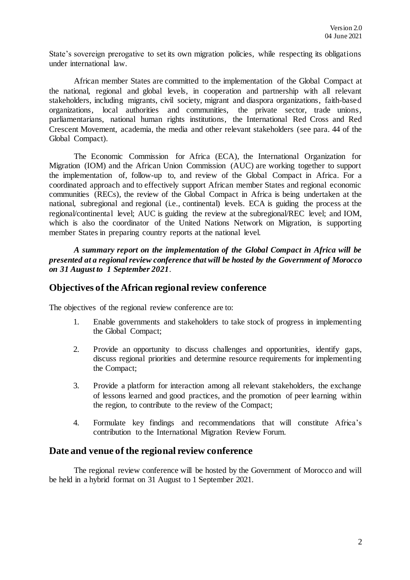State's sovereign prerogative to set its own migration policies, while respecting its obligations under international law.

African member States are committed to the implementation of the Global Compact at the national, regional and global levels, in cooperation and partnership with all relevant stakeholders, including migrants, civil society, migrant and diaspora organizations, faith-based organizations, local authorities and communities, the private sector, trade unions, parliamentarians, national human rights institutions, the International Red Cross and Red Crescent Movement, academia, the media and other relevant stakeholders (see para. 44 of the Global Compact).

The Economic Commission for Africa (ECA), the International Organization for Migration (IOM) and the African Union Commission (AUC) are working together to support the implementation of, follow-up to, and review of the Global Compact in Africa. For a coordinated approach and to effectively support African member States and regional economic communities (RECs), the review of the Global Compact in Africa is being undertaken at the national, subregional and regional (i.e., continental) levels. ECA is guiding the process at the regional/continental level; AUC is guiding the review at the subregional/REC level; and IOM, which is also the coordinator of the United Nations Network on Migration, is supporting member States in preparing country reports at the national level.

*A summary report on the implementation of the Global Compact in Africa will be presented at a regional review conference that will be hosted by the Government of Morocco on 31 August to 1 September 2021.*

### **Objectives of the African regional review conference**

The objectives of the regional review conference are to:

- 1. Enable governments and stakeholders to take stock of progress in implementing the Global Compact;
- 2. Provide an opportunity to discuss challenges and opportunities, identify gaps, discuss regional priorities and determine resource requirements for implementing the Compact;
- 3. Provide a platform for interaction among all relevant stakeholders, the exchange of lessons learned and good practices, and the promotion of peer learning within the region, to contribute to the review of the Compact;
- 4. Formulate key findings and recommendations that will constitute Africa's contribution to the International Migration Review Forum.

#### **Date and venue of the regional review conference**

The regional review conference will be hosted by the Government of Morocco and will be held in a hybrid format on 31 August to 1 September 2021.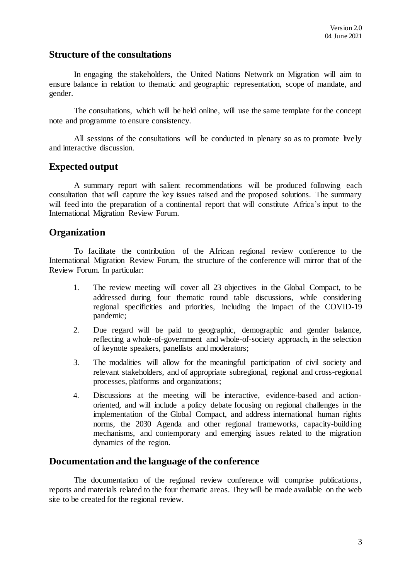## **Structure of the consultations**

In engaging the stakeholders, the United Nations Network on Migration will aim to ensure balance in relation to thematic and geographic representation, scope of mandate, and gender.

The consultations, which will be held online, will use the same template for the concept note and programme to ensure consistency.

All sessions of the consultations will be conducted in plenary so as to promote lively and interactive discussion.

### **Expected output**

A summary report with salient recommendations will be produced following each consultation that will capture the key issues raised and the proposed solutions. The summary will feed into the preparation of a continental report that will constitute Africa's input to the International Migration Review Forum.

#### **Organization**

To facilitate the contribution of the African regional review conference to the International Migration Review Forum, the structure of the conference will mirror that of the Review Forum. In particular:

- 1. The review meeting will cover all 23 objectives in the Global Compact, to be addressed during four thematic round table discussions, while considering regional specificities and priorities, including the impact of the COVID-19 pandemic;
- 2. Due regard will be paid to geographic, demographic and gender balance, reflecting a whole-of-government and whole-of-society approach, in the selection of keynote speakers, panellists and moderators;
- 3. The modalities will allow for the meaningful participation of civil society and relevant stakeholders, and of appropriate subregional, regional and cross-regional processes, platforms and organizations;
- 4. Discussions at the meeting will be interactive, evidence-based and actionoriented, and will include a policy debate focusing on regional challenges in the implementation of the Global Compact, and address international human rights norms, the 2030 Agenda and other regional frameworks, capacity-building mechanisms, and contemporary and emerging issues related to the migration dynamics of the region.

#### **Documentation and the language of the conference**

The documentation of the regional review conference will comprise publications , reports and materials related to the four thematic areas. They will be made available on the web site to be created for the regional review.